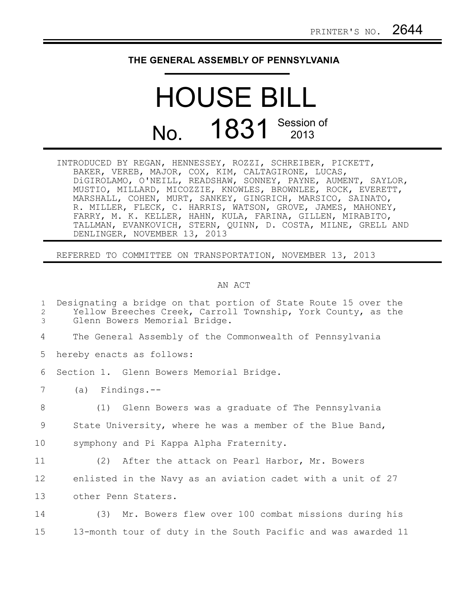## **THE GENERAL ASSEMBLY OF PENNSYLVANIA**

## HOUSE BILL No. 1831 Session of

INTRODUCED BY REGAN, HENNESSEY, ROZZI, SCHREIBER, PICKETT, BAKER, VEREB, MAJOR, COX, KIM, CALTAGIRONE, LUCAS, DiGIROLAMO, O'NEILL, READSHAW, SONNEY, PAYNE, AUMENT, SAYLOR, MUSTIO, MILLARD, MICOZZIE, KNOWLES, BROWNLEE, ROCK, EVERETT, MARSHALL, COHEN, MURT, SANKEY, GINGRICH, MARSICO, SAINATO, R. MILLER, FLECK, C. HARRIS, WATSON, GROVE, JAMES, MAHONEY, FARRY, M. K. KELLER, HAHN, KULA, FARINA, GILLEN, MIRABITO, TALLMAN, EVANKOVICH, STERN, QUINN, D. COSTA, MILNE, GRELL AND DENLINGER, NOVEMBER 13, 2013

REFERRED TO COMMITTEE ON TRANSPORTATION, NOVEMBER 13, 2013

## AN ACT

| $\mathbf{1}$<br>2<br>3 | Designating a bridge on that portion of State Route 15 over the<br>Yellow Breeches Creek, Carroll Township, York County, as the<br>Glenn Bowers Memorial Bridge. |
|------------------------|------------------------------------------------------------------------------------------------------------------------------------------------------------------|
| 4                      | The General Assembly of the Commonwealth of Pennsylvania                                                                                                         |
| 5                      | hereby enacts as follows:                                                                                                                                        |
| 6                      | Section 1. Glenn Bowers Memorial Bridge.                                                                                                                         |
| 7                      | $(a)$ Findings.--                                                                                                                                                |
| 8                      | (1) Glenn Bowers was a graduate of The Pennsylvania                                                                                                              |
| 9                      | State University, where he was a member of the Blue Band,                                                                                                        |
| 10                     | symphony and Pi Kappa Alpha Fraternity.                                                                                                                          |
| 11                     | (2) After the attack on Pearl Harbor, Mr. Bowers                                                                                                                 |
| 12                     | enlisted in the Navy as an aviation cadet with a unit of 27                                                                                                      |
| 13                     | other Penn Staters.                                                                                                                                              |
| 14                     | (3) Mr. Bowers flew over 100 combat missions during his                                                                                                          |
| 15                     | 13-month tour of duty in the South Pacific and was awarded 11                                                                                                    |